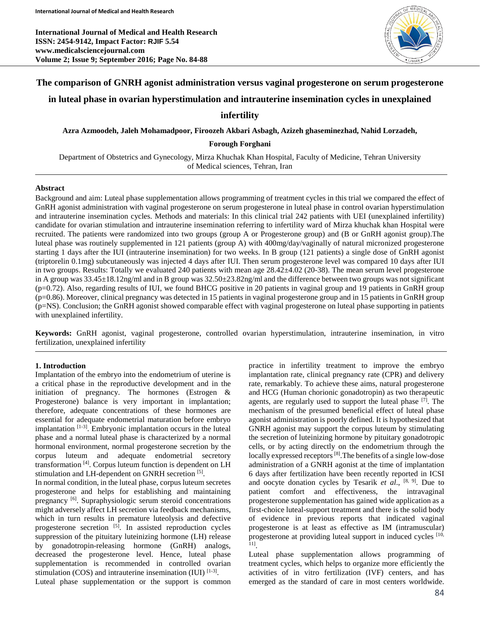**International Journal of Medical and Health Research ISSN: 2454-9142, Impact Factor: RJIF 5.54 www.medicalsciencejournal.com Volume 2; Issue 9; September 2016; Page No. 84-88**



### **The comparison of GNRH agonist administration versus vaginal progesterone on serum progesterone**

## **in luteal phase in ovarian hyperstimulation and intrauterine insemination cycles in unexplained**

## **infertility**

**Azra Azmoodeh, Jaleh Mohamadpoor, Firoozeh Akbari Asbagh, Azizeh ghaseminezhad, Nahid Lorzadeh,**

**Forough Forghani**

Department of Obstetrics and Gynecology, Mirza Khuchak Khan Hospital, Faculty of Medicine, Tehran University of Medical sciences, Tehran, Iran

#### **Abstract**

Background and aim: Luteal phase supplementation allows programming of treatment cycles in this trial we compared the effect of GnRH agonist administration with vaginal progesterone on serum progesterone in luteal phase in control ovarian hyperstimulation and intrauterine insemination cycles. Methods and materials: In this clinical trial 242 patients with UEI (unexplained infertility) candidate for ovarian stimulation and intrauterine insemination referring to infertility ward of Mirza khuchak khan Hospital were recruited. The patients were randomized into two groups (group A or Progesterone group) and (B or GnRH agonist group).The luteal phase was routinely supplemented in 121 patients (group A) with 400mg/day/vaginally of natural micronized progesterone starting 1 days after the IUI (intrauterine insemination) for two weeks. In B group (121 patients) a single dose of GnRH agonist (triptorelin 0.1mg) subcutaneously was injected 4 days after IUI. Then serum progesterone level was compared 10 days after IUI in two groups. Results: Totally we evaluated 240 patients with mean age 28.42±4.02 (20-38). The mean serum level progesterone in A group was  $33.45\pm18.12$ ng/ml and in B group was  $32.50\pm23.82$ ng/ml and the difference between two groups was not significant (p=0.72). Also, regarding results of IUI, we found BHCG positive in 20 patients in vaginal group and 19 patients in GnRH group (p=0.86). Moreover, clinical pregnancy was detected in 15 patients in vaginal progesterone group and in 15 patients in GnRH group (p=NS). Conclusion; the GnRH agonist showed comparable effect with vaginal progesterone on luteal phase supporting in patients with unexplained infertility.

**Keywords:** GnRH agonist, vaginal progesterone, controlled ovarian hyperstimulation, intrauterine insemination, in vitro fertilization, unexplained infertility

### **1. Introduction**

Implantation of the embryo into the endometrium of uterine is a critical phase in the reproductive development and in the initiation of pregnancy. The hormones (Estrogen & Progesterone) balance is very important in implantation; therefore, adequate concentrations of these hormones are essential for adequate endometrial maturation before embryo implantation [1-3]. Embryonic implantation occurs in the luteal phase and a normal luteal phase is characterized by a normal hormonal environment, normal progesterone secretion by the corpus luteum and adequate endometrial secretory transformation [4] . Corpus luteum function is dependent on LH stimulation and LH-dependent on GNRH secretion [5].

In normal condition, in the luteal phase, corpus luteum secretes progesterone and helps for establishing and maintaining pregnancy<sup>[6]</sup>. Supraphysiologic serum steroid concentrations might adversely affect LH secretion via feedback mechanisms, which in turn results in premature luteolysis and defective progesterone secretion [5]. In assisted reproduction cycles suppression of the pituitary luteinizing hormone (LH) release by gonadotropin-releasing hormone (GnRH) analogs, decreased the progesterone level. Hence, luteal phase supplementation is recommended in controlled ovarian stimulation (COS) and intrauterine insemination (IUI)  $[1-3]$ .

Luteal phase supplementation or the support is common

practice in infertility treatment to improve the embryo implantation rate, clinical pregnancy rate (CPR) and delivery rate, remarkably. To achieve these aims, natural progesterone and HCG (Human chorionic gonadotropin) as two therapeutic agents, are regularly used to support the luteal phase <sup>[7]</sup>. The mechanism of the presumed beneficial effect of luteal phase agonist administration is poorly defined. It is hypothesized that GNRH agonist may support the corpus luteum by stimulating the secretion of luteinizing hormone by pituitary gonadotropic cells, or by acting directly on the endometrium through the locally expressed receptors<sup>[8]</sup>. The benefits of a single low-dose administration of a GNRH agonist at the time of implantation 6 days after fertilization have been recently reported in ICSI and oocyte donation cycles by Tesarik *et al*., [8, 9] . Due to patient comfort and effectiveness, the intravaginal progesterone supplementation has gained wide application as a first-choice luteal-support treatment and there is the solid body of evidence in previous reports that indicated vaginal progesterone is at least as effective as IM (intramuscular) progesterone at providing luteal support in induced cycles [10, 11] .

Luteal phase supplementation allows programming of treatment cycles, which helps to organize more efficiently the activities of in vitro fertilization (IVF) centers, and has emerged as the standard of care in most centers worldwide.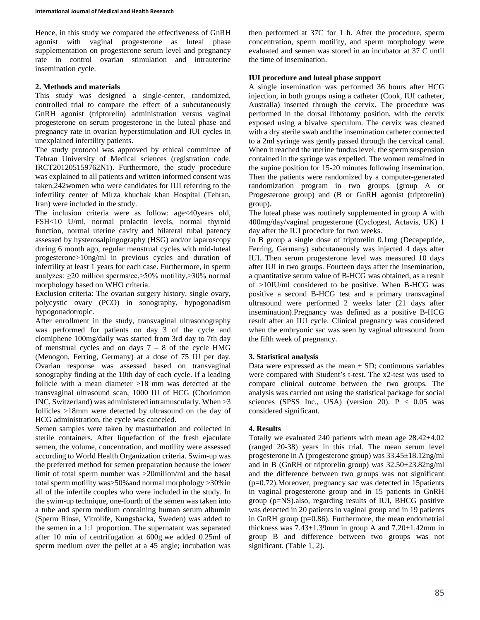Hence, in this study we compared the effectiveness of GnRH agonist with vaginal progesterone as luteal phase supplementation on progesterone serum level and pregnancy rate in control ovarian stimulation and intrauterine insemination cycle.

### **2. Methods and materials**

This study was designed a single-center, randomized, controlled trial to compare the effect of a subcutaneously GnRH agonist (triptorelin) administration versus vaginal progesterone on serum progesterone in the luteal phase and pregnancy rate in ovarian hyperstimulation and IUI cycles in unexplained infertility patients.

The study protocol was approved by ethical committee of Tehran University of Medical sciences (registration code. IRCT201205159762N1). Furthermore, the study procedure was explained to all patients and written informed consent was taken.242women who were candidates for IUI referring to the infertility center of Mirza khuchak khan Hospital (Tehran, Iran) were included in the study.

The inclusion criteria were as follow: age<40years old, FSH<10 U/ml, normal prolactin levels, normal thyroid function, normal uterine cavity and bilateral tubal patency assessed by hysterosalpingography (HSG) and/or laparoscopy during 6 month ago, regular menstrual cycles with mid-luteal progesterone>10ng/ml in previous cycles and duration of infertility at least 1 years for each case. Furthermore, in sperm analyzes: ≥20 million sperms/cc,>50% motility,>30% normal morphology based on WHO criteria.

Exclusion criteria: The ovarian surgery history, single ovary, polycystic ovary (PCO) in sonography, hypogonadism hypogonadotropic.

After enrollment in the study, transvaginal ultrasonography was performed for patients on day 3 of the cycle and clomiphene 100mg/daily was started from 3rd day to 7th day of menstrual cycles and on days  $7 - 8$  of the cycle HMG (Menogon, Ferring, Germany) at a dose of 75 IU per day. Ovarian response was assessed based on transvaginal sonography finding at the 10th day of each cycle. If a leading follicle with a mean diameter >18 mm was detected at the transvaginal ultrasound scan, 1000 IU of HCG (Choriomon INC, Switzerland) was administered intramuscularly. When >3 follicles >18mm were detected by ultrasound on the day of HCG administration, the cycle was canceled.

Semen samples were taken by masturbation and collected in sterile containers. After liquefaction of the fresh ejaculate semen, the volume, concentration, and motility were assessed according to World Health Organization criteria. Swim-up was the preferred method for semen preparation because the lower limit of total sperm number was >20milion/ml and the basal total sperm motility was>50%and normal morphology >30%in all of the infertile couples who were included in the study. In the swim-up technique, one-fourth of the semen was taken into a tube and sperm medium containing human serum albumin (Sperm Rinse, Vitrolife, Kungsbacka, Sweden) was added to the semen in a 1:1 proportion. The supernatant was separated after 10 min of centrifugation at 600g.we added 0.25ml of sperm medium over the pellet at a 45 angle; incubation was

then performed at 37C for 1 h. After the procedure, sperm concentration, sperm motility, and sperm morphology were evaluated and semen was stored in an incubator at 37 C until the time of insemination.

# **IUI procedure and luteal phase support**

A single insemination was performed 36 hours after HCG injection, in both groups using a catheter (Cook, IUI catheter, Australia) inserted through the cervix. The procedure was performed in the dorsal lithotomy position, with the cervix exposed using a bivalve speculum. The cervix was cleaned with a dry sterile swab and the insemination catheter connected to a 2ml syringe was gently passed through the cervical canal. When it reached the uterine fundus level, the sperm suspension contained in the syringe was expelled. The women remained in the supine position for 15-20 minutes following insemination. Then the patients were randomized by a computer-generated randomization program in two groups (group A or Progesterone group) and (B or GnRH agonist (triptorelin) group).

The luteal phase was routinely supplemented in group A with 400mg/day/vaginal progesterone (Cyclogest, Actavis, UK) 1 day after the IUI procedure for two weeks.

In B group a single dose of triptorelin 0.1mg (Decapeptide, Ferring, Germany) subcutaneously was injected 4 days after IUI. Then serum progesterone level was measured 10 days after IUI in two groups. Fourteen days after the insemination, a quantitative serum value of B-HCG was obtained, as a result of >10IU/ml considered to be positive. When B-HCG was positive a second B-HCG test and a primary transvaginal ultrasound were performed 2 weeks later (21 days after insemination).Pregnancy was defined as a positive B-HCG result after an IUI cycle. Clinical pregnancy was considered when the embryonic sac was seen by vaginal ultrasound from the fifth week of pregnancy.

# **3. Statistical analysis**

Data were expressed as the mean  $\pm$  SD; continuous variables were compared with Student's t-test. The x2-test was used to compare clinical outcome between the two groups. The analysis was carried out using the statistical package for social sciences (SPSS Inc., USA) (version 20).  $P < 0.05$  was considered significant.

# **4. Results**

Totally we evaluated 240 patients with mean age 28.42±4.02 (ranged 20-38) years in this trial. The mean serum level progesterone in A (progesterone group) was 33.45±18.12ng/ml and in B (GnRH or triptorelin group) was 32.50±23.82ng/ml and the difference between two groups was not significant (p=0.72).Moreover, pregnancy sac was detected in 15patients in vaginal progesterone group and in 15 patients in GnRH group (p=NS).also, regarding results of IUI, BHCG positive was detected in 20 patients in vaginal group and in 19 patients in GnRH group (p=0.86). Furthermore, the mean endometrial thickness was  $7.43\pm1.39$ mm in group A and  $7.20\pm1.42$ mm in group B and difference between two groups was not significant. (Table 1, 2).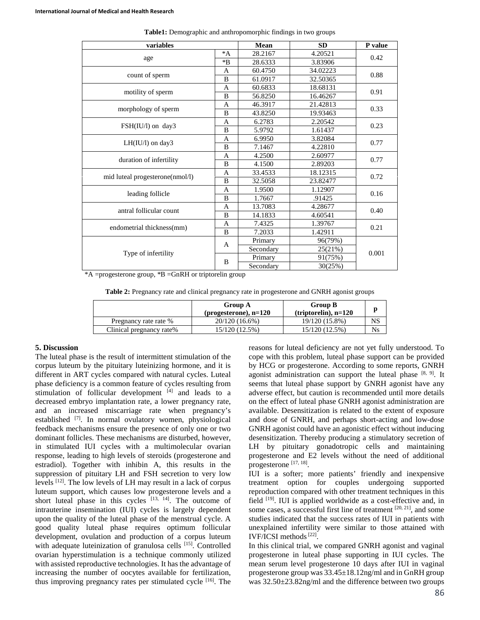| variables                       |              | Mean      | <b>SD</b> | P value |
|---------------------------------|--------------|-----------|-----------|---------|
| age                             | $^*A$        | 28.2167   | 4.20521   | 0.42    |
|                                 | $*B$         | 28.6333   | 3.83906   |         |
| count of sperm                  | A            | 60.4750   | 34.02223  | 0.88    |
|                                 | B            | 61.0917   | 32.50365  |         |
| motility of sperm               | A            | 60.6833   | 18.68131  | 0.91    |
|                                 | B            | 56.8250   | 16.46267  |         |
| morphology of sperm             | A            | 46.3917   | 21.42813  | 0.33    |
|                                 | B            | 43.8250   | 19.93463  |         |
|                                 | A            | 6.2783    | 2.20542   | 0.23    |
| FSH(IU/l) on day3               | B            | 5.9792    | 1.61437   |         |
|                                 | A            | 6.9950    | 3.82084   | 0.77    |
| $LH(IU/l)$ on day3              | B            | 7.1467    | 4.22810   |         |
|                                 | A            | 4.2500    | 2.60977   | 0.77    |
| duration of infertility         | B            | 4.1500    | 2.89203   |         |
|                                 | A            | 33.4533   | 18.12315  | 0.72    |
| mid luteal progesterone(nmol/l) | B            | 32.5058   | 23.82477  |         |
| leading follicle                | A            | 1.9500    | 1.12907   | 0.16    |
|                                 | B            | 1.7667    | .91425    |         |
| antral follicular count         | A            | 13.7083   | 4.28677   | 0.40    |
|                                 | B            | 14.1833   | 4.60541   |         |
| endometrial thickness(mm)       | A            | 7.4325    | 1.39767   | 0.21    |
|                                 | B            | 7.2033    | 1.42911   |         |
| Type of infertility             | $\mathsf{A}$ | Primary   | 96(79%)   | 0.001   |
|                                 |              | Secondary | 25(21%)   |         |
|                                 | B            | Primary   | 91(75%)   |         |
|                                 |              | Secondary | 30(25%)   |         |

**Table1:** Demographic and anthropomorphic findings in two groups

\*A =progesterone group, \*B =GnRH or triptorelin group

|  |  | Table 2: Pregnancy rate and clinical pregnancy rate in progesterone and GNRH agonist groups |
|--|--|---------------------------------------------------------------------------------------------|
|--|--|---------------------------------------------------------------------------------------------|

|                          | <b>Group A</b><br>(progesterone), $n=120$ | <b>Group B</b><br>$(triptorelin)$ , n=120 |    |
|--------------------------|-------------------------------------------|-------------------------------------------|----|
| Pregnancy rate rate %    | 20/120 (16.6%)                            | 19/120 (15.8%)                            | NS |
| Clinical pregnancy rate% | 15/120 (12.5%)                            | 15/120 (12.5%)                            | Ns |

### **5. Discussion**

The luteal phase is the result of intermittent stimulation of the corpus luteum by the pituitary luteinizing hormone, and it is different in ART cycles compared with natural cycles. Luteal phase deficiency is a common feature of cycles resulting from stimulation of follicular development  $[4]$  and leads to a decreased embryo implantation rate, a lower pregnancy rate, and an increased miscarriage rate when pregnancy's established <a>[7]</a>. In normal ovulatory women, physiological feedback mechanisms ensure the presence of only one or two dominant follicles. These mechanisms are disturbed, however, in stimulated IUI cycles with a multimolecular ovarian response, leading to high levels of steroids (progesterone and estradiol). Together with inhibin A, this results in the suppression of pituitary LH and FSH secretion to very low levels [12] . The low levels of LH may result in a lack of corpus luteum support, which causes low progesterone levels and a short luteal phase in this cycles  $[13, 14]$ . The outcome of intrauterine insemination (IUI) cycles is largely dependent upon the quality of the luteal phase of the menstrual cycle. A good quality luteal phase requires optimum follicular development, ovulation and production of a corpus luteum with adequate luteinization of granulosa cells [15]. Controlled ovarian hyperstimulation is a technique commonly utilized with assisted reproductive technologies. It has the advantage of increasing the number of oocytes available for fertilization, thus improving pregnancy rates per stimulated cycle [16] . The reasons for luteal deficiency are not yet fully understood. To cope with this problem, luteal phase support can be provided by HCG or progesterone. According to some reports, GNRH agonist administration can support the luteal phase [8, 9]. It seems that luteal phase support by GNRH agonist have any adverse effect, but caution is recommended until more details on the effect of luteal phase GNRH agonist administration are available. Desensitization is related to the extent of exposure and dose of GNRH, and perhaps short-acting and low-dose GNRH agonist could have an agonistic effect without inducing desensitization. Thereby producing a stimulatory secretion of LH by pituitary gonadotropic cells and maintaining progesterone and E2 levels without the need of additional progesterone [17, 18].

IUI is a softer; more patients' friendly and inexpensive treatment option for couples undergoing supported reproduction compared with other treatment techniques in this field <sup>[19]</sup>. IUI is applied worldwide as a cost-effective and, in some cases, a successful first line of treatment  $[20, 21]$ , and some studies indicated that the success rates of IUI in patients with unexplained infertility were similar to those attained with IVF/ICSI methods<sup>[22]</sup>.

In this clinical trial, we compared GNRH agonist and vaginal progesterone in luteal phase supporting in IUI cycles. The mean serum level progesterone 10 days after IUI in vaginal progesterone group was 33.45±18.12ng/ml and in GnRH group was 32.50±23.82ng/ml and the difference between two groups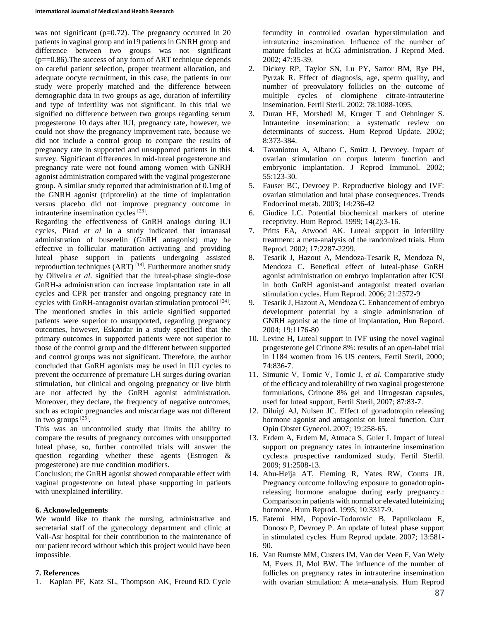was not significant ( $p=0.72$ ). The pregnancy occurred in 20 patients in vaginal group and in19 patients in GNRH group and difference between two groups was not significant  $(p=-0.86)$ . The success of any form of ART technique depends on careful patient selection, proper treatment allocation, and adequate oocyte recruitment, in this case, the patients in our study were properly matched and the difference between demographic data in two groups as age, duration of infertility and type of infertility was not significant. In this trial we signified no difference between two groups regarding serum progesterone 10 days after IUI, pregnancy rate, however, we could not show the pregnancy improvement rate, because we did not include a control group to compare the results of pregnancy rate in supported and unsupported patients in this survey. Significant differences in mid-luteal progesterone and pregnancy rate were not found among women with GNRH agonist administration compared with the vaginal progesterone group. A similar study reported that administration of 0.1mg of the GNRH agonist (triptorelin) at the time of implantation versus placebo did not improve pregnancy outcome in intrauterine insemination cycles [23].

Regarding the effectiveness of GnRH analogs during IUI cycles, Pirad *et al* in a study indicated that intranasal administration of buserelin (GnRH antagonist) may be effective in follicular maturation activating and providing luteal phase support in patients undergoing assisted reproduction techniques (ART)<sup>[18]</sup>. Furthermore another study by Oliveira *et al*. signified that the luteal-phase single-dose GnRH-a administration can increase implantation rate in all cycles and CPR per transfer and ongoing pregnancy rate in cycles with GnRH-antagonist ovarian stimulation protocol<sup>[24]</sup>. The mentioned studies in this article signified supported patients were superior to unsupported, regarding pregnancy outcomes, however, Eskandar in a study specified that the primary outcomes in supported patients were not superior to those of the control group and the different between supported and control groups was not significant. Therefore, the author concluded that GnRH agonists may be used in IUI cycles to prevent the occurrence of premature LH surges during ovarian stimulation, but clinical and ongoing pregnancy or live birth are not affected by the GnRH agonist administration. Moreover, they declare, the frequency of negative outcomes, such as ectopic pregnancies and miscarriage was not different in two groups [25].

This was an uncontrolled study that limits the ability to compare the results of pregnancy outcomes with unsupported luteal phase, so, further controlled trials will answer the question regarding whether these agents (Estrogen & progesterone) are true condition modifiers.

Conclusion; the GnRH agonist showed comparable effect with vaginal progesterone on luteal phase supporting in patients with unexplained infertility.

### **6. Acknowledgements**

We would like to thank the nursing, administrative and secretarial staff of the gynecology department and clinic at Vali-Asr hospital for their contribution to the maintenance of our patient record without which this project would have been impossible.

### **7. References**

1. Kaplan PF, Katz SL, Thompson AK, Freund RD. Cycle

fecundity in controlled ovarian hyperstimulation and intrauterine insemination. Influence of the number of mature follicles at hCG administration. J Reprod Med. 2002; 47:35-39.

- 2. Dickey RP, Taylor SN, Lu PY, Sartor BM, Rye PH, Pyrzak R. Effect of diagnosis, age, sperm quality, and number of preovulatory follicles on the outcome of multiple cycles of clomiphene citrate-intrauterine insemination. Fertil Steril. 2002; 78:1088-1095.
- 3. Duran HE, Morshedi M, Kruger T and Oehninger S. Intrauterine insemination: a systematic review on determinants of success. Hum Reprod Update. 2002; 8:373-384.
- 4. Tavaniotou A, Albano C, Smitz J, Devroey. Impact of ovarian stimulation on corpus luteum function and embryonic implantation. J Reprod Immunol. 2002; 55:123-30.
- 5. Fauser BC, Devroey P. Reproductive biology and IVF: ovarian stimulation and lutal phase consequences. Trends Endocrinol metab. 2003; 14:236-42
- 6. Giudice LC. Potential biochemical markers of uterine receptivity. Hum Reprod. 1999; 14(2):3-16.
- 7. Pritts EA, Atwood AK. Luteal support in infertility treatment: a meta-analysis of the randomized trials. Hum Reprod. 2002; 17:2287-2299.
- 8. Tesarik J, Hazout A, Mendoza-Tesarik R, Mendoza N, Mendoza C. Benefical effect of luteal-phase GnRH agonist administration on embryo implantation after ICSI in both GnRH agonist-and antagonist treated ovarian stimulation cycles. Hum Reprod. 2006; 21:2572-9
- 9. Tesarik J, Hazout A, Mendoza C. Enhancement of embryo development potential by a single administration of GNRH agonist at the time of implantation, Hun Repord. 2004; 19:1176-80
- 10. Levine H, Luteal support in IVF using the novel vaginal progesterone gel Crinone 8%: results of an open-label trial in 1184 women from 16 US centers, Fertil Steril, 2000; 74:836-7.
- 11. Simunic V, Tomic V, Tomic J, *et al*. Comparative study of the efficacy and tolerability of two vaginal progesterone formulations, Crinone 8% gel and Utrogestan capsules, used for luteal support, Fertil Steril, 2007; 87:83-7.
- 12. Diluigi AJ, Nulsen JC. Effect of gonadotropin releasing hormone agonist and antagonist on luteal function. Curr Opin Obstet Gynecol. 2007; 19:258-65.
- 13. Erdem A, Erdem M, Atmaca S, Guler I. Impact of luteal support on pregnancy rates in intrauterine insemination cycles:a prospective randomized study. Fertil Sterlil. 2009; 91:2508-13.
- 14. Abu-Heija AT, Fleming R, Yates RW, Coutts JR. Pregnancy outcome following exposure to gonadotropinreleasing hormone analogue during early pregnancy.: Comparison in patients with normal or elevated luteinizing hormone. Hum Reprod. 1995; 10:3317-9.
- 15. Fatemi HM, Popovic-Todorovic B, Papnikolaou E, Donoso P, Devroey P. An update of luteal phase support in stimulated cycles. Hum Reprod update. 2007; 13:581- 90.
- 16. Van Rumste MM, Custers IM, Van der Veen F, Van Wely M, Evers JI, Mol BW. The influence of the number of follicles on pregnancy rates in intrauterine insemination with ovarian stmulation: A meta–analysis. Hum Reprod